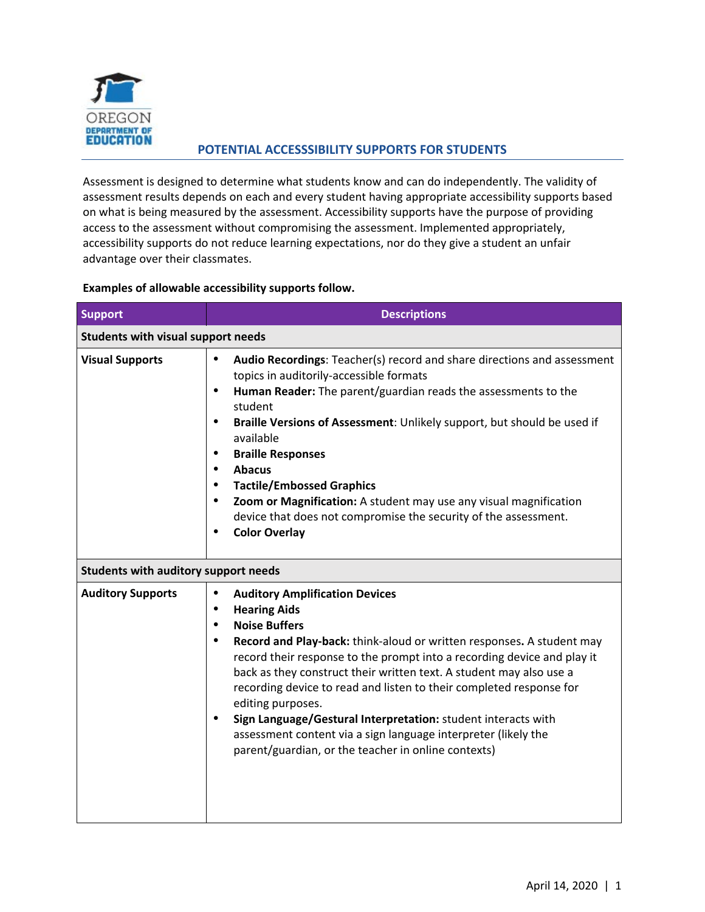

## **POTENTIAL ACCESSSIBILITY SUPPORTS FOR STUDENTS**

Assessment is designed to determine what students know and can do independently. The validity of assessment results depends on each and every student having appropriate accessibility supports based on what is being measured by the assessment. Accessibility supports have the purpose of providing access to the assessment without compromising the assessment. Implemented appropriately, accessibility supports do not reduce learning expectations, nor do they give a student an unfair advantage over their classmates.

## **Examples of allowable accessibility supports follow.**

| <b>Support</b>                              | <b>Descriptions</b>                                                                                                                                                                                                                                                                                                                                                                                                                                                                                                                                                                                                                       |  |  |
|---------------------------------------------|-------------------------------------------------------------------------------------------------------------------------------------------------------------------------------------------------------------------------------------------------------------------------------------------------------------------------------------------------------------------------------------------------------------------------------------------------------------------------------------------------------------------------------------------------------------------------------------------------------------------------------------------|--|--|
| <b>Students with visual support needs</b>   |                                                                                                                                                                                                                                                                                                                                                                                                                                                                                                                                                                                                                                           |  |  |
| <b>Visual Supports</b>                      | Audio Recordings: Teacher(s) record and share directions and assessment<br>$\bullet$<br>topics in auditorily-accessible formats<br>Human Reader: The parent/guardian reads the assessments to the<br>٠<br>student<br>Braille Versions of Assessment: Unlikely support, but should be used if<br>$\bullet$<br>available<br><b>Braille Responses</b><br><b>Abacus</b><br>$\bullet$<br><b>Tactile/Embossed Graphics</b><br>Zoom or Magnification: A student may use any visual magnification<br>device that does not compromise the security of the assessment.<br><b>Color Overlay</b>                                                      |  |  |
| <b>Students with auditory support needs</b> |                                                                                                                                                                                                                                                                                                                                                                                                                                                                                                                                                                                                                                           |  |  |
| <b>Auditory Supports</b>                    | <b>Auditory Amplification Devices</b><br>٠<br><b>Hearing Aids</b><br>$\bullet$<br><b>Noise Buffers</b><br>$\bullet$<br>Record and Play-back: think-aloud or written responses. A student may<br>٠<br>record their response to the prompt into a recording device and play it<br>back as they construct their written text. A student may also use a<br>recording device to read and listen to their completed response for<br>editing purposes.<br>Sign Language/Gestural Interpretation: student interacts with<br>assessment content via a sign language interpreter (likely the<br>parent/guardian, or the teacher in online contexts) |  |  |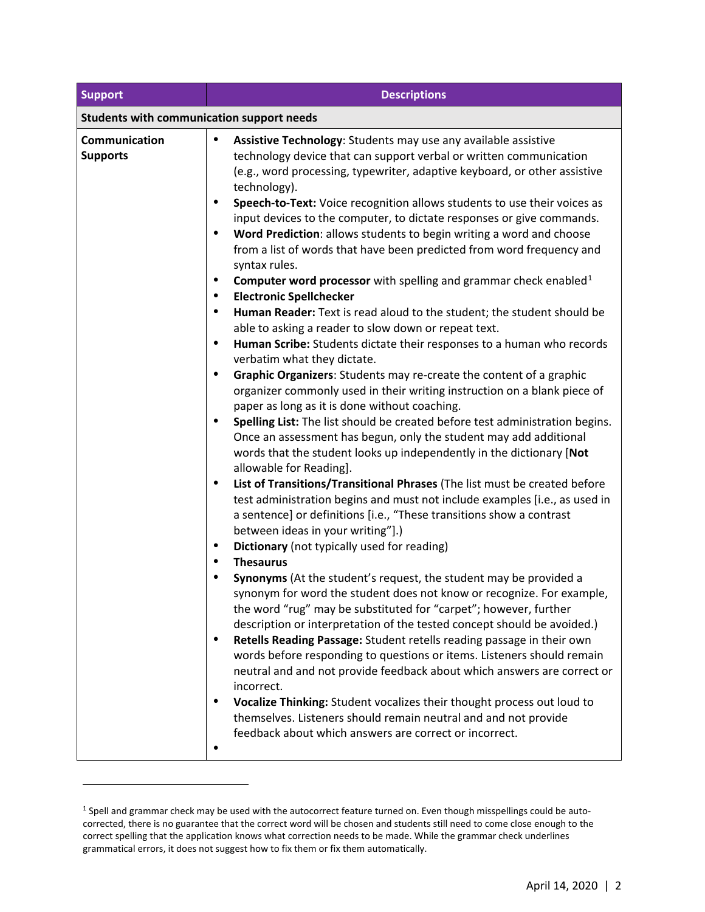| Support                                          | <b>Descriptions</b>                                                                                                                                                                                                                                                                                                                                                                                                                                                                                                                                                                                                                                                                                                                                                                                                                                                                                                                                                                                                                                                                                                                                                                                                                                                                                                                                                                                                                                                                                                                                                                                                                                                                                                                                                                                                                                                                                                                                                                                                                                                                                                                                                                                                                                                                                                                                                                                                                                                                                                                                                                                                                                |  |  |
|--------------------------------------------------|----------------------------------------------------------------------------------------------------------------------------------------------------------------------------------------------------------------------------------------------------------------------------------------------------------------------------------------------------------------------------------------------------------------------------------------------------------------------------------------------------------------------------------------------------------------------------------------------------------------------------------------------------------------------------------------------------------------------------------------------------------------------------------------------------------------------------------------------------------------------------------------------------------------------------------------------------------------------------------------------------------------------------------------------------------------------------------------------------------------------------------------------------------------------------------------------------------------------------------------------------------------------------------------------------------------------------------------------------------------------------------------------------------------------------------------------------------------------------------------------------------------------------------------------------------------------------------------------------------------------------------------------------------------------------------------------------------------------------------------------------------------------------------------------------------------------------------------------------------------------------------------------------------------------------------------------------------------------------------------------------------------------------------------------------------------------------------------------------------------------------------------------------------------------------------------------------------------------------------------------------------------------------------------------------------------------------------------------------------------------------------------------------------------------------------------------------------------------------------------------------------------------------------------------------------------------------------------------------------------------------------------------------|--|--|
| <b>Students with communication support needs</b> |                                                                                                                                                                                                                                                                                                                                                                                                                                                                                                                                                                                                                                                                                                                                                                                                                                                                                                                                                                                                                                                                                                                                                                                                                                                                                                                                                                                                                                                                                                                                                                                                                                                                                                                                                                                                                                                                                                                                                                                                                                                                                                                                                                                                                                                                                                                                                                                                                                                                                                                                                                                                                                                    |  |  |
| Communication<br><b>Supports</b>                 | Assistive Technology: Students may use any available assistive<br>$\bullet$<br>technology device that can support verbal or written communication<br>(e.g., word processing, typewriter, adaptive keyboard, or other assistive<br>technology).<br>Speech-to-Text: Voice recognition allows students to use their voices as<br>$\bullet$<br>input devices to the computer, to dictate responses or give commands.<br>Word Prediction: allows students to begin writing a word and choose<br>from a list of words that have been predicted from word frequency and<br>syntax rules.<br><b>Computer word processor</b> with spelling and grammar check enabled <sup>1</sup><br>$\bullet$<br><b>Electronic Spellchecker</b><br>$\bullet$<br>Human Reader: Text is read aloud to the student; the student should be<br>$\bullet$<br>able to asking a reader to slow down or repeat text.<br>Human Scribe: Students dictate their responses to a human who records<br>$\bullet$<br>verbatim what they dictate.<br>Graphic Organizers: Students may re-create the content of a graphic<br>$\bullet$<br>organizer commonly used in their writing instruction on a blank piece of<br>paper as long as it is done without coaching.<br>Spelling List: The list should be created before test administration begins.<br>$\bullet$<br>Once an assessment has begun, only the student may add additional<br>words that the student looks up independently in the dictionary [Not<br>allowable for Reading].<br>List of Transitions/Transitional Phrases (The list must be created before<br>$\bullet$<br>test administration begins and must not include examples [i.e., as used in<br>a sentence] or definitions [i.e., "These transitions show a contrast<br>between ideas in your writing"].)<br>Dictionary (not typically used for reading)<br>٠<br><b>Thesaurus</b><br>$\bullet$<br>Synonyms (At the student's request, the student may be provided a<br>$\bullet$<br>synonym for word the student does not know or recognize. For example,<br>the word "rug" may be substituted for "carpet"; however, further<br>description or interpretation of the tested concept should be avoided.)<br>Retells Reading Passage: Student retells reading passage in their own<br>$\bullet$<br>words before responding to questions or items. Listeners should remain<br>neutral and and not provide feedback about which answers are correct or<br>incorrect.<br>Vocalize Thinking: Student vocalizes their thought process out loud to<br>themselves. Listeners should remain neutral and and not provide<br>feedback about which answers are correct or incorrect. |  |  |

-

<span id="page-1-0"></span><sup>1</sup> Spell and grammar check may be used with the autocorrect feature turned on. Even though misspellings could be autocorrected, there is no guarantee that the correct word will be chosen and students still need to come close enough to the correct spelling that the application knows what correction needs to be made. While the grammar check underlines grammatical errors, it does not suggest how to fix them or fix them automatically.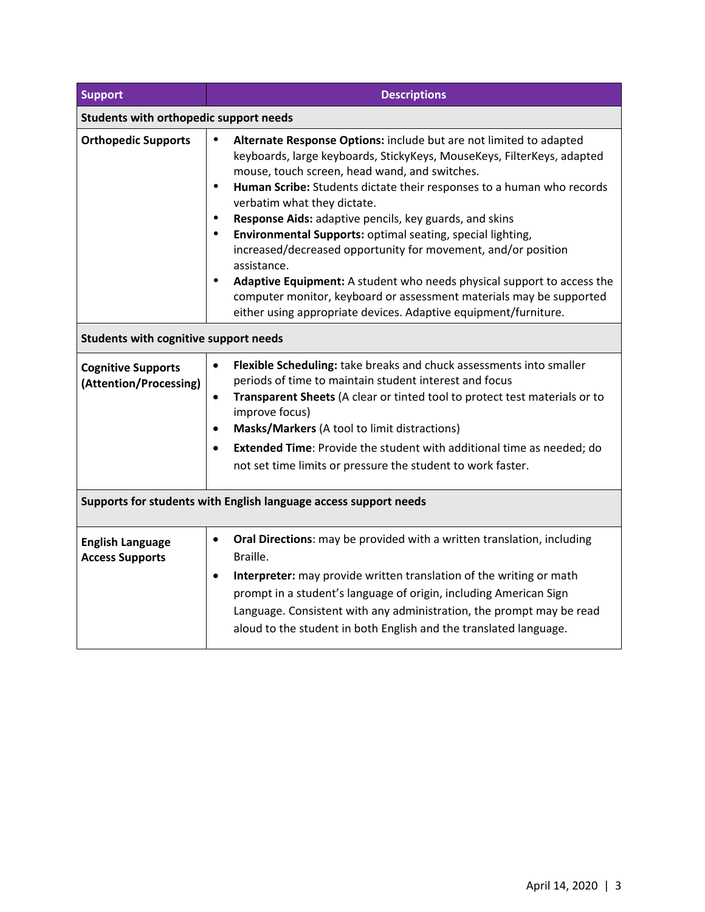| <b>Support</b>                                                   | <b>Descriptions</b>                                                                                                                                                                                                                                                                                                                                                                                                                                                                                                                                                                                                                                                                                                                                                                                |  |  |
|------------------------------------------------------------------|----------------------------------------------------------------------------------------------------------------------------------------------------------------------------------------------------------------------------------------------------------------------------------------------------------------------------------------------------------------------------------------------------------------------------------------------------------------------------------------------------------------------------------------------------------------------------------------------------------------------------------------------------------------------------------------------------------------------------------------------------------------------------------------------------|--|--|
| Students with orthopedic support needs                           |                                                                                                                                                                                                                                                                                                                                                                                                                                                                                                                                                                                                                                                                                                                                                                                                    |  |  |
| <b>Orthopedic Supports</b>                                       | $\bullet$<br>Alternate Response Options: include but are not limited to adapted<br>keyboards, large keyboards, StickyKeys, MouseKeys, FilterKeys, adapted<br>mouse, touch screen, head wand, and switches.<br>$\bullet$<br>Human Scribe: Students dictate their responses to a human who records<br>verbatim what they dictate.<br>Response Aids: adaptive pencils, key guards, and skins<br>$\bullet$<br>Environmental Supports: optimal seating, special lighting,<br>$\bullet$<br>increased/decreased opportunity for movement, and/or position<br>assistance.<br>Adaptive Equipment: A student who needs physical support to access the<br>$\bullet$<br>computer monitor, keyboard or assessment materials may be supported<br>either using appropriate devices. Adaptive equipment/furniture. |  |  |
| <b>Students with cognitive support needs</b>                     |                                                                                                                                                                                                                                                                                                                                                                                                                                                                                                                                                                                                                                                                                                                                                                                                    |  |  |
| <b>Cognitive Supports</b><br>(Attention/Processing)              | Flexible Scheduling: take breaks and chuck assessments into smaller<br>$\bullet$<br>periods of time to maintain student interest and focus<br>Transparent Sheets (A clear or tinted tool to protect test materials or to<br>$\bullet$<br>improve focus)<br>Masks/Markers (A tool to limit distractions)<br>$\bullet$<br><b>Extended Time:</b> Provide the student with additional time as needed; do<br>$\bullet$<br>not set time limits or pressure the student to work faster.                                                                                                                                                                                                                                                                                                                   |  |  |
| Supports for students with English language access support needs |                                                                                                                                                                                                                                                                                                                                                                                                                                                                                                                                                                                                                                                                                                                                                                                                    |  |  |
| <b>English Language</b><br><b>Access Supports</b>                | Oral Directions: may be provided with a written translation, including<br>$\bullet$<br>Braille.<br>Interpreter: may provide written translation of the writing or math<br>$\bullet$<br>prompt in a student's language of origin, including American Sign<br>Language. Consistent with any administration, the prompt may be read<br>aloud to the student in both English and the translated language.                                                                                                                                                                                                                                                                                                                                                                                              |  |  |